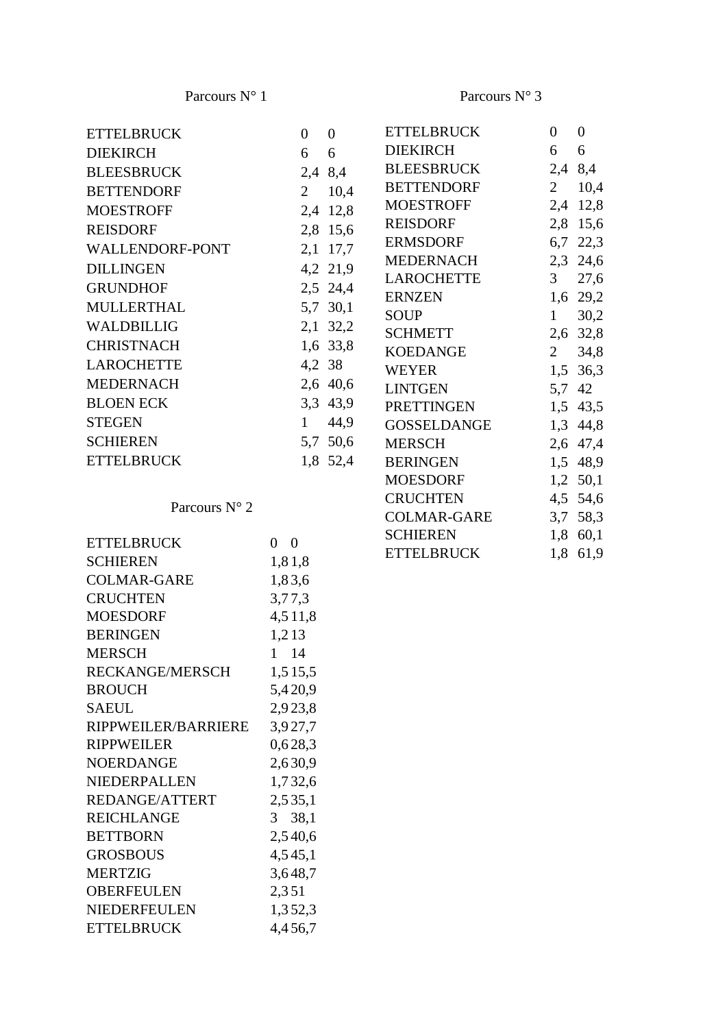Parcours N° 3

CRUCHTEN 4,5 54,6 COLMAR-GARE 3,7 58,3 SCHIEREN 1,8 60,1 ETTELBRUCK 1,8 61,9

| <b>ETTELBRUCK</b> | $\overline{0}$ | $\overline{0}$ | <b>ETTELBRUCK</b>  | $\theta$       | $\theta$ |
|-------------------|----------------|----------------|--------------------|----------------|----------|
| <b>DIEKIRCH</b>   | 6              | 6              | <b>DIEKIRCH</b>    | 6              | 6        |
| <b>BLEESBRUCK</b> | 2,4 8,4        |                | BLEESBRUCK         |                | 2,4 8,4  |
| <b>BETTENDORF</b> | $\overline{2}$ | 10,4           | BETTENDORF         | $2^{\circ}$    | 10,4     |
| <b>MOESTROFF</b>  |                | 2,4 12,8       | MOESTROFF          |                | 2,4 12,8 |
| <b>REISDORF</b>   |                | 2,8 15,6       | <b>REISDORF</b>    |                | 2,8 15,6 |
| WALLENDORF-PONT   |                | 2,1 17,7       | ERMSDORF           |                | 6,7 22,3 |
| <b>DILLINGEN</b>  |                | 4,2 21,9       | MEDERNACH          |                | 2,3 24,6 |
| <b>GRUNDHOF</b>   |                | 2,5 24,4       | <b>LAROCHETTE</b>  | 3 <sup>7</sup> | 27,6     |
| <b>MULLERTHAL</b> |                |                | <b>ERNZEN</b>      |                | 1,6 29,2 |
|                   |                | 5,7 30,1       | <b>SOUP</b>        | 1              | 30,2     |
| <b>WALDBILLIG</b> |                | 2,1 32,2       | <b>SCHMETT</b>     |                | 2,6 32,8 |
| <b>CHRISTNACH</b> |                | 1,6 33,8       | KOEDANGE           | 2              | 34,8     |
| <b>LAROCHETTE</b> | 4,2 38         |                | <b>WEYER</b>       |                | 1,5 36,3 |
| <b>MEDERNACH</b>  |                | 2,6 40,6       | <b>LINTGEN</b>     |                | 5,7 42   |
| <b>BLOEN ECK</b>  |                | 3,3 43,9       | PRETTINGEN         |                | 1,5 43,5 |
| <b>STEGEN</b>     | 1              | 44,9           | <b>GOSSELDANGE</b> |                | 1,3 44,8 |
| <b>SCHIEREN</b>   |                | 5,7 50,6       | <b>MERSCH</b>      |                | 2,6 47,4 |
| <b>ETTELBRUCK</b> |                | 1,8 52,4       | BERINGEN           |                | 1,5 48,9 |
|                   |                |                | <b>MOESDORF</b>    |                | 1,2 50,1 |

| <b>ETTELBRUCK</b>      | 0<br>$\Omega$ |
|------------------------|---------------|
| <b>SCHIEREN</b>        | 1,81,8        |
| <b>COLMAR-GARE</b>     | 1,83,6        |
| <b>CRUCHTEN</b>        | 3,77,3        |
| <b>MOESDORF</b>        | 4,511,8       |
| <b>BERINGEN</b>        | 1,213         |
| <b>MERSCH</b>          | 1 14          |
| <b>RECKANGE/MERSCH</b> | 1,515,5       |
| <b>BROUCH</b>          | 5,420,9       |
| <b>SAEUL</b>           | 2,923,8       |
| RIPPWEILER/BARRIERE    | 3,927,7       |
| <b>RIPPWEILER</b>      | 0,628,3       |
| <b>NOERDANGE</b>       | 2,630,9       |
| <b>NIEDERPALLEN</b>    | 1,732,6       |
| <b>REDANGE/ATTERT</b>  | 2,535,1       |
| <b>REICHLANGE</b>      | 3 38,1        |
| <b>BETTBORN</b>        | 2,540,6       |
| <b>GROSBOUS</b>        | 4,545,1       |
| <b>MERTZIG</b>         | 3,648,7       |
| <b>OBERFEULEN</b>      | 2,351         |
| <b>NIEDERFEULEN</b>    | 1,352,3       |
| <b>ETTELBRUCK</b>      | 4,456,7       |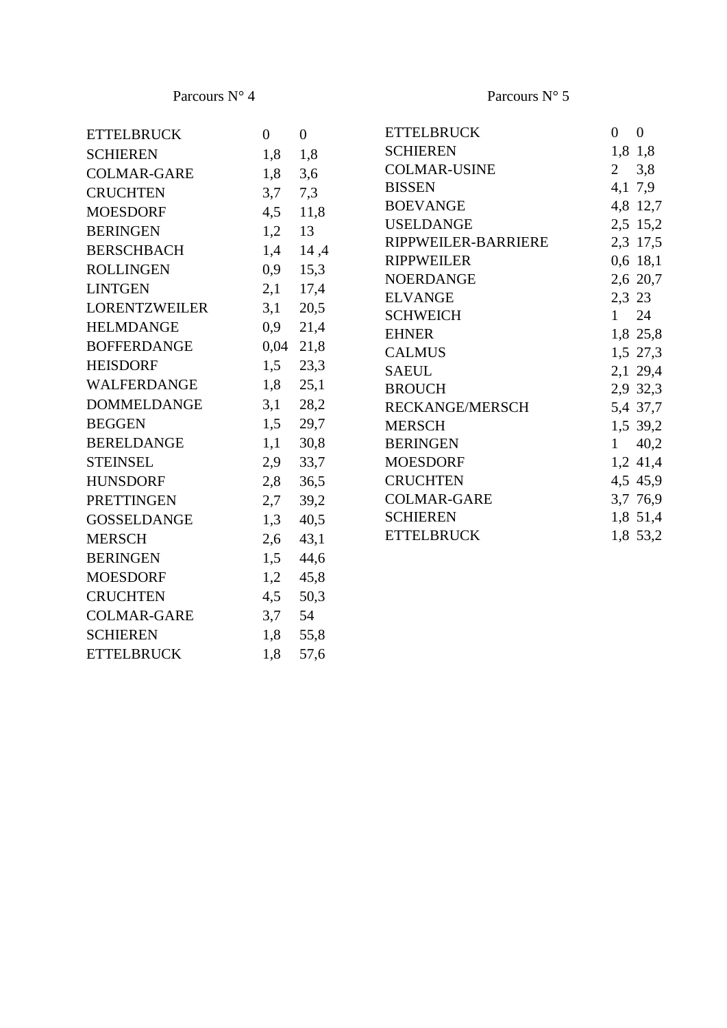ETTELBRUCK 1,8 57,6

| <b>ETTELBRUCK</b>    | $\overline{0}$ | $\mathbf{0}$ | <b>ETTELBRUCK</b>      | $\mathbf{0}$   | $\boldsymbol{0}$ |
|----------------------|----------------|--------------|------------------------|----------------|------------------|
| <b>SCHIEREN</b>      | 1,8            | 1,8          | <b>SCHIEREN</b>        |                | 1,8 1,8          |
| <b>COLMAR-GARE</b>   | 1,8            | 3,6          | <b>COLMAR-USINE</b>    | $\overline{2}$ | 3,8              |
| <b>CRUCHTEN</b>      | 3,7            | 7,3          | <b>BISSEN</b>          |                | 4,1 7,9          |
| <b>MOESDORF</b>      | 4,5            | 11,8         | <b>BOEVANGE</b>        |                | 4,8 12,7         |
| <b>BERINGEN</b>      | 1,2            | 13           | <b>USELDANGE</b>       |                | 2,5 15,2         |
| <b>BERSCHBACH</b>    | 1,4            | 14,4         | RIPPWEILER-BARRIERE    |                | 2,3 17,5         |
| <b>ROLLINGEN</b>     | 0,9            | 15,3         | <b>RIPPWEILER</b>      |                | $0,6$ 18,1       |
| <b>LINTGEN</b>       | 2,1            | 17,4         | <b>NOERDANGE</b>       |                | 2,6 20,7         |
| <b>LORENTZWEILER</b> | 3,1            | 20,5         | <b>ELVANGE</b>         | 2,3 23         |                  |
| <b>HELMDANGE</b>     | 0,9            | 21,4         | <b>SCHWEICH</b>        | 1              | 24               |
| <b>BOFFERDANGE</b>   | 0,04           | 21,8         | <b>EHNER</b>           |                | 1,8 25,8         |
| <b>HEISDORF</b>      | 1,5            | 23,3         | <b>CALMUS</b>          |                | 1,5 27,3         |
| WALFERDANGE          | 1,8            |              | <b>SAEUL</b>           |                | 2,1 29,4         |
|                      |                | 25,1         | <b>BROUCH</b>          |                | 2,9 32,3         |
| <b>DOMMELDANGE</b>   | 3,1            | 28,2         | <b>RECKANGE/MERSCH</b> |                | 5,4 37,7         |
| <b>BEGGEN</b>        | 1,5            | 29,7         | <b>MERSCH</b>          |                | 1,5 39,2         |
| <b>BERELDANGE</b>    | 1,1            | 30,8         | <b>BERINGEN</b>        | $\mathbf{1}$   | 40,2             |
| <b>STEINSEL</b>      | 2,9            | 33,7         | <b>MOESDORF</b>        |                | 1,2 41,4         |
| <b>HUNSDORF</b>      | 2,8            | 36,5         | <b>CRUCHTEN</b>        |                | 4,5 45,9         |
| <b>PRETTINGEN</b>    | 2,7            | 39,2         | <b>COLMAR-GARE</b>     |                | 3,7 76,9         |
| <b>GOSSELDANGE</b>   | 1,3            | 40,5         | <b>SCHIEREN</b>        |                | 1,8 51,4         |
| <b>MERSCH</b>        | 2,6            | 43,1         | <b>ETTELBRUCK</b>      |                | 1,8 53,2         |
| <b>BERINGEN</b>      | 1,5            | 44,6         |                        |                |                  |
| <b>MOESDORF</b>      | 1,2            | 45,8         |                        |                |                  |
| <b>CRUCHTEN</b>      | 4,5            | 50,3         |                        |                |                  |
| <b>COLMAR-GARE</b>   | 3,7            | 54           |                        |                |                  |
| <b>SCHIEREN</b>      | 1,8            | 55,8         |                        |                |                  |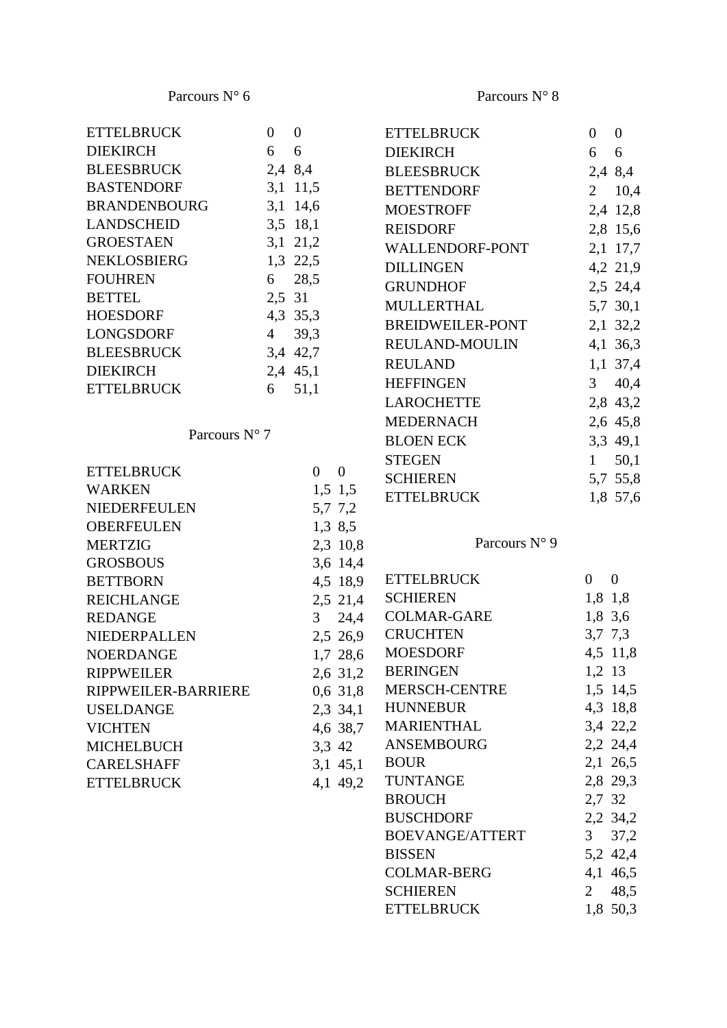| ETTELBRUCK             | $0 \quad 0$ |                                | <b>ETTELBRUCK</b>       | $\overline{0}$ | $\overline{0}$   |
|------------------------|-------------|--------------------------------|-------------------------|----------------|------------------|
| <b>DIEKIRCH</b>        | 6           | 6                              | <b>DIEKIRCH</b>         | 6              | 6                |
| <b>BLEESBRUCK</b>      |             | 2,4 8,4                        | <b>BLEESBRUCK</b>       |                | 2,4 8,4          |
| <b>BASTENDORF</b>      |             | $3,1$ 11,5                     | <b>BETTENDORF</b>       |                | $2 \t10,4$       |
| BRANDENBOURG           |             | 3,1 14,6                       | <b>MOESTROFF</b>        |                | 2,4 12,8         |
| <b>LANDSCHEID</b>      |             | 3,5 18,1                       | <b>REISDORF</b>         |                | 2,8 15,6         |
| GROESTAEN              |             | $3,1$ 21,2                     | WALLENDORF-PONT         |                | 2,1 17,7         |
| NEKLOSBIERG            |             | 1,3 22,5                       | <b>DILLINGEN</b>        |                | 4,2 21,9         |
| <b>FOUHREN</b>         | 6           | 28,5                           | <b>GRUNDHOF</b>         |                | 2,5 24,4         |
| <b>BETTEL</b>          | 2,5 31      |                                | MULLERTHAL              |                | 5,7 30,1         |
| HOESDORF               |             | 4,3 35,3                       | <b>BREIDWEILER-PONT</b> |                | 2,1 32,2         |
| LONGSDORF              | 4           | 39,3                           | REULAND-MOULIN          |                | 4,1 36,3         |
| BLEESBRUCK             |             | 3,4 42,7                       |                         |                |                  |
| <b>DIEKIRCH</b>        |             | 2,4 45,1                       | <b>REULAND</b>          |                | $1,1$ 37,4       |
| <b>ETTELBRUCK</b>      | 6           | 51,1                           | <b>HEFFINGEN</b>        | 3 <sup>7</sup> | 40,4             |
|                        |             |                                | LAROCHETTE              |                | 2,8 43,2         |
| Parcours $N^{\circ}$ 7 |             |                                | <b>MEDERNACH</b>        |                | 2,6 45,8         |
|                        |             |                                | <b>BLOEN ECK</b>        |                | 3,3 49,1         |
| <b>ETTELBRUCK</b>      |             | $\overline{0}$<br>$\mathbf{0}$ | <b>STEGEN</b>           | 1              | 50,1             |
| WARKEN                 |             | $1,5$ 1,5                      | <b>SCHIEREN</b>         |                | 5,7 55,8         |
| NIEDERFEULEN           |             | 5,7 7,2                        | <b>ETTELBRUCK</b>       |                | 1,8 57,6         |
| <b>OBERFEULEN</b>      |             | 1,3,8,5                        |                         |                |                  |
| <b>MERTZIG</b>         |             | 2,3 10,8                       | Parcours N° 9           |                |                  |
| <b>GROSBOUS</b>        |             | 3,6 14,4                       |                         |                |                  |
| <b>BETTBORN</b>        |             | 4,5 18,9                       | <b>ETTELBRUCK</b>       | $\overline{0}$ | $\boldsymbol{0}$ |
| <b>REICHLANGE</b>      |             | 2,5 21,4                       | <b>SCHIEREN</b>         | 1,8 1,8        |                  |
| REDANGE                |             | 24,4<br>3 <sup>7</sup>         | COLMAR-GARE             | 1,8 3,6        |                  |
| NIEDERPALLEN           |             | 2,5 26,9                       | <b>CRUCHTEN</b>         | 3,7,7,3        |                  |
| NOERDANGE              |             | 1,7 28,6                       | <b>MOESDORF</b>         |                | 4,5 11,8         |
| RIPPWEILER             |             | 2,6 31,2                       | <b>BERINGEN</b>         | 1,2 13         |                  |
| RIPPWEILER-BARRIERE    |             | $0,6$ 31,8                     | MERSCH-CENTRE           |                | 1,5 14,5         |
| USELDANGE              |             | 2,3 34,1                       | <b>HUNNEBUR</b>         |                | 4,3 18,8         |
| <b>VICHTEN</b>         |             | 4,6 38,7                       | <b>MARIENTHAL</b>       |                | 3,4 22,2         |
| MICHELBUCH             |             | 3,3 42                         | ANSEMBOURG              |                | 2,2 24,4         |
| <b>CARELSHAFF</b>      |             | $3,1$ 45,1                     | <b>BOUR</b>             |                | 2,1 26,5         |
| <b>ETTELBRUCK</b>      |             | 4,1 49,2                       | <b>TUNTANGE</b>         |                | 2,8 29,3         |
|                        |             |                                | <b>BROUCH</b>           | 2,7 32         |                  |
|                        |             |                                | <b>BUSCHDORF</b>        |                | 2,2 34,2         |
|                        |             |                                | BOEVANGE/ATTERT         | 3 <sup>7</sup> | 37,2             |
|                        |             |                                | <b>BISSEN</b>           |                | 5,2 42,4         |
|                        |             |                                | <b>COLMAR-BERG</b>      |                | 4,1 46,5         |
|                        |             |                                | <b>SCHIEREN</b>         | $\overline{2}$ | 48,5             |
|                        |             |                                | <b>ETTELBRUCK</b>       |                | 1,8 50,3         |
|                        |             |                                |                         |                |                  |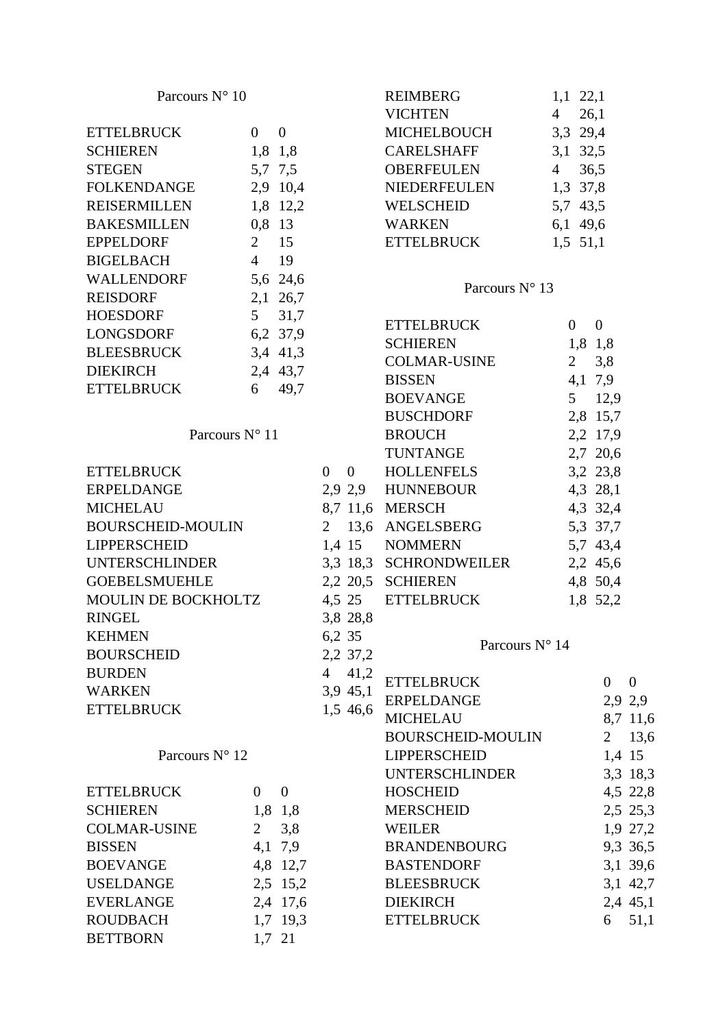| Parcours N° 10                        |                |                |                |             | REIMBERG<br><b>VICHTEN</b> | $1,1$ 22,1<br>$\overline{4}$ | 26,1           |              |
|---------------------------------------|----------------|----------------|----------------|-------------|----------------------------|------------------------------|----------------|--------------|
| <b>ETTELBRUCK</b>                     | $\overline{0}$ | $\overline{0}$ |                |             | MICHELBOUCH                | 3,3 29,4                     |                |              |
| <b>SCHIEREN</b>                       |                | 1,8 1,8        |                |             | <b>CARELSHAFF</b>          |                              |                |              |
| <b>STEGEN</b>                         |                | 5,7 7,5        |                |             | OBERFEULEN                 | 3,1 32,5<br>$4\overline{ }$  | 36,5           |              |
| <b>FOLKENDANGE</b>                    |                | 2,9 10,4       |                |             | NIEDERFEULEN               | 1,3 37,8                     |                |              |
| <b>REISERMILLEN</b>                   |                | 1,8 12,2       |                |             | <b>WELSCHEID</b>           | 5,7 43,5                     |                |              |
| <b>BAKESMILLEN</b>                    | 0,8 13         |                |                |             | <b>WARKEN</b>              |                              |                |              |
| <b>EPPELDORF</b>                      |                | $2 \t15$       |                |             | <b>ETTELBRUCK</b>          | 6,1 49,6                     |                |              |
|                                       | $\overline{4}$ | 19             |                |             |                            | $1,5$ 51,1                   |                |              |
| <b>BIGELBACH</b><br><b>WALLENDORF</b> |                |                |                |             |                            |                              |                |              |
|                                       |                | 5,6 24,6       |                |             | Parcours $N^{\circ}$ 13    |                              |                |              |
| <b>REISDORF</b>                       |                | 2,1 26,7       |                |             |                            |                              |                |              |
| <b>HOESDORF</b>                       | 5 <sup>5</sup> | 31,7           |                |             | <b>ETTELBRUCK</b>          | $\overline{0}$               | $\mathbf{0}$   |              |
| LONGSDORF                             |                | 6,2 37,9       |                |             | <b>SCHIEREN</b>            |                              | 1,8 1,8        |              |
| <b>BLEESBRUCK</b>                     |                | 3,4 41,3       |                |             | <b>COLMAR-USINE</b>        | $\overline{2}$               | 3,8            |              |
| <b>DIEKIRCH</b>                       |                | 2,4 43,7       |                |             | <b>BISSEN</b>              |                              | 4,1 7,9        |              |
| <b>ETTELBRUCK</b>                     | 6              | 49,7           |                |             | <b>BOEVANGE</b>            |                              | 5 12,9         |              |
|                                       |                |                |                |             | <b>BUSCHDORF</b>           |                              | 2,8 15,7       |              |
| Parcours N° 11                        |                |                |                |             | <b>BROUCH</b>              |                              | 2,2 17,9       |              |
|                                       |                |                |                |             | <b>TUNTANGE</b>            |                              | 2,7 20,6       |              |
| <b>ETTELBRUCK</b>                     |                |                |                | $0 \quad 0$ | HOLLENFELS                 |                              | 3,2 23,8       |              |
| <b>ERPELDANGE</b>                     |                |                |                |             | 2,9 2,9 HUNNEBOUR          |                              | 4,3 28,1       |              |
| <b>MICHELAU</b>                       |                |                |                |             | 8,7 11,6 MERSCH            |                              | 4,3 32,4       |              |
| <b>BOURSCHEID-MOULIN</b>              |                |                | $\overline{2}$ | 13,6        | ANGELSBERG                 |                              | 5,3 37,7       |              |
| <b>LIPPERSCHEID</b>                   |                |                |                |             | 1,4 15 NOMMERN             |                              | 5,7 43,4       |              |
| <b>UNTERSCHLINDER</b>                 |                |                |                |             | 3,3 18,3 SCHRONDWEILER     |                              | 2,2 45,6       |              |
| <b>GOEBELSMUEHLE</b>                  |                |                |                |             | 2,2 20,5 SCHIEREN          |                              | 4,8 50,4       |              |
| MOULIN DE BOCKHOLTZ                   |                |                |                | 4,5 25      | <b>ETTELBRUCK</b>          |                              | 1,8 52,2       |              |
| <b>RINGEL</b>                         |                |                |                | 3,8 28,8    |                            |                              |                |              |
| <b>KEHMEN</b>                         |                |                |                | 6,2 35      |                            |                              |                |              |
| <b>BOURSCHEID</b>                     |                |                |                | 2,2 37,2    | Parcours N° 14             |                              |                |              |
| <b>BURDEN</b>                         |                |                | $\overline{4}$ | 41,2        |                            |                              |                |              |
| <b>WARKEN</b>                         |                |                |                | 3,9 45,1    | <b>ETTELBRUCK</b>          |                              | $\overline{0}$ | $\mathbf{0}$ |
| <b>ETTELBRUCK</b>                     |                |                |                | 1,5 46,6    | <b>ERPELDANGE</b>          |                              |                | 2,9 2,9      |
|                                       |                |                |                |             | <b>MICHELAU</b>            |                              |                | 8,7 11,6     |
|                                       |                |                |                |             | <b>BOURSCHEID-MOULIN</b>   |                              | $\overline{2}$ | 13,6         |
| Parcours N° 12                        |                |                |                |             | <b>LIPPERSCHEID</b>        |                              |                | 1,4 15       |
|                                       |                |                |                |             | <b>UNTERSCHLINDER</b>      |                              |                | 3,3 18,3     |
| <b>ETTELBRUCK</b>                     | $\Omega$       | $\mathbf{0}$   |                |             | <b>HOSCHEID</b>            |                              |                | 4,5 22,8     |
| <b>SCHIEREN</b>                       |                | 1,8 1,8        |                |             | <b>MERSCHEID</b>           |                              |                | 2,5 25,3     |
| <b>COLMAR-USINE</b>                   | 2              | 3,8            |                |             | <b>WEILER</b>              |                              |                | 1,9 27,2     |
| <b>BISSEN</b>                         |                | 4,1 7,9        |                |             | <b>BRANDENBOURG</b>        |                              |                | 9,3 36,5     |
| <b>BOEVANGE</b>                       |                | 4,8 12,7       |                |             | <b>BASTENDORF</b>          |                              |                | 3,1 39,6     |
| <b>USELDANGE</b>                      |                | 2,5 15,2       |                |             | <b>BLEESBRUCK</b>          |                              |                | 3,1 42,7     |
| <b>EVERLANGE</b>                      |                | 2,4 17,6       |                |             | <b>DIEKIRCH</b>            |                              |                | 2,4 45,1     |
| <b>ROUDBACH</b>                       |                | 1,7 19,3       |                |             | <b>ETTELBRUCK</b>          |                              | 6              | 51,1         |
| <b>BETTBORN</b>                       |                | 1,7 21         |                |             |                            |                              |                |              |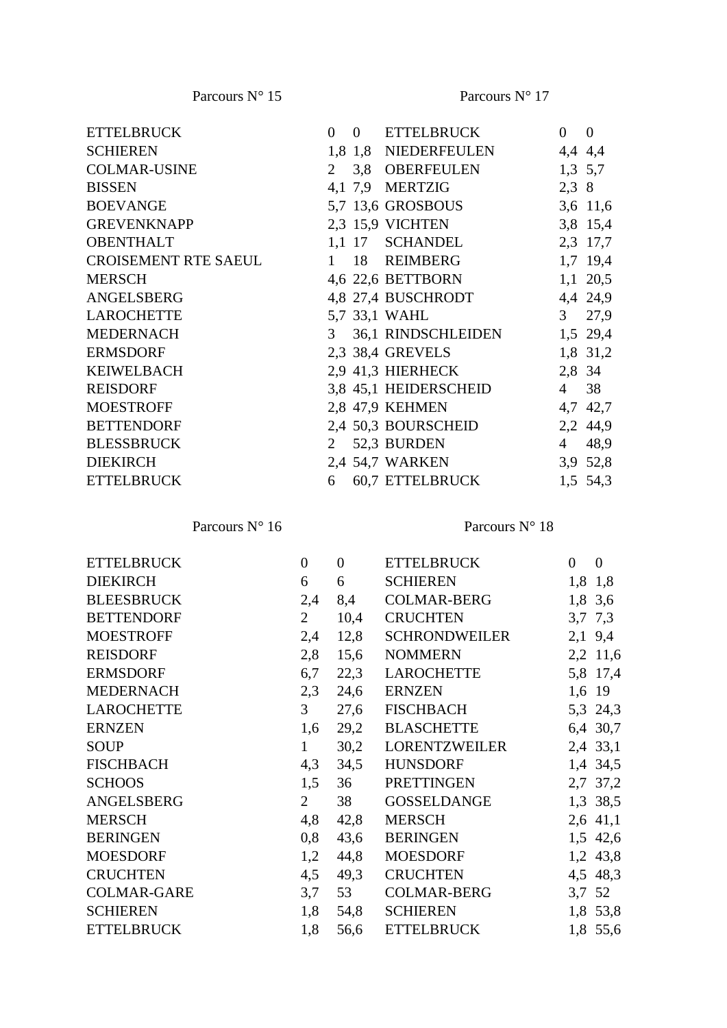| <b>ETTELBRUCK</b>           | $\Omega$       | $\overline{0}$ | ETTELBRUCK            | $\overline{0}$ | $\overline{0}$ |
|-----------------------------|----------------|----------------|-----------------------|----------------|----------------|
| <b>SCHIEREN</b>             |                |                | 1,8 1,8 NIEDERFEULEN  |                | 4,4 4,4        |
| <b>COLMAR-USINE</b>         | 2              |                | 3,8 OBERFEULEN        |                | 1,3,5,7        |
| <b>BISSEN</b>               |                |                | 4,1 7,9 MERTZIG       |                | 2,3 8          |
| <b>BOEVANGE</b>             |                |                | 5,7 13,6 GROSBOUS     |                | 3,6 11,6       |
| <b>GREVENKNAPP</b>          |                |                | 2,3 15,9 VICHTEN      |                | 3,8 15,4       |
| <b>OBENTHALT</b>            |                | $1,1$ 17       | SCHANDEL              |                | 2,3 17,7       |
| <b>CROISEMENT RTE SAEUL</b> | $\mathbf{1}$   |                | 18 REIMBERG           |                | 1,7 19,4       |
| <b>MERSCH</b>               |                |                | 4,6 22,6 BETTBORN     |                | $1,1$ 20,5     |
| ANGELSBERG                  |                |                | 4,8 27,4 BUSCHRODT    |                | 4,4 24,9       |
| <b>LAROCHETTE</b>           |                |                | 5,7 33,1 WAHL         |                | 3, 27, 9       |
| <b>MEDERNACH</b>            | 3 <sup>7</sup> |                | 36,1 RINDSCHLEIDEN    |                | 1,5 29,4       |
| <b>ERMSDORF</b>             |                |                | 2,3 38,4 GREVELS      |                | 1,8 31,2       |
| <b>KEIWELBACH</b>           |                |                | 2,9 41,3 HIERHECK     |                | 2,8 34         |
| <b>REISDORF</b>             |                |                | 3,8 45,1 HEIDERSCHEID | $\overline{4}$ | 38             |
| <b>MOESTROFF</b>            |                |                | 2,8 47,9 KEHMEN       |                | 4,7 42,7       |
| <b>BETTENDORF</b>           |                |                | 2,4 50,3 BOURSCHEID   |                | 2,2 44,9       |
| <b>BLESSBRUCK</b>           | 2              |                | 52,3 BURDEN           | $4 -$          | 48,9           |
| <b>DIEKIRCH</b>             |                |                | 2,4 54,7 WARKEN       |                | 3,9 52,8       |
| <b>ETTELBRUCK</b>           | 6              |                | 60,7 ETTELBRUCK       |                | 1,5 54,3       |

Parcours N° 16

| <b>ETTELBRUCK</b>  | $\boldsymbol{0}$ | $\overline{0}$ | <b>ETTELBRUCK</b>   | $\overline{0}$ | $\mathbf{0}$ |
|--------------------|------------------|----------------|---------------------|----------------|--------------|
| <b>DIEKIRCH</b>    | 6                | $6\degree$     | <b>SCHIEREN</b>     |                | 1,8 1,8      |
| <b>BLEESBRUCK</b>  | 2,4              | 8,4            | COLMAR-BERG         |                | 1,8 3,6      |
| <b>BETTENDORF</b>  | 2                | 10,4           | <b>CRUCHTEN</b>     |                | 3,7 7,3      |
| <b>MOESTROFF</b>   | 2,4              | 12,8           | SCHRONDWEILER       |                | $2,1$ 9,4    |
| <b>REISDORF</b>    | 2,8              |                | 15,6 NOMMERN        |                | 2,2 11,6     |
| <b>ERMSDORF</b>    |                  |                | 6,7 22,3 LAROCHETTE |                | 5,8 17,4     |
| <b>MEDERNACH</b>   | 2,3              |                | 24,6 ERNZEN         |                | 1,6 19       |
| <b>LAROCHETTE</b>  | 3 <sup>7</sup>   |                | 27,6 FISCHBACH      |                | 5,3 24,3     |
| <b>ERNZEN</b>      | 1,6              |                | 29,2 BLASCHETTE     |                | 6,4 30,7     |
| <b>SOUP</b>        | 1                |                | 30,2 LORENTZWEILER  |                | 2,4 33,1     |
| FISCHBACH          |                  |                | 4,3 34,5 HUNSDORF   |                | 1,4 34,5     |
| <b>SCHOOS</b>      | 1,5              | 36             | PRETTINGEN          |                | 2,7 37,2     |
| ANGELSBERG         | 2                | 38             | GOSSELDANGE         |                | 1,3 38,5     |
| <b>MERSCH</b>      | 4,8              | 42,8           | <b>MERSCH</b>       |                | $2,6$ 41,1   |
| <b>BERINGEN</b>    | 0,8              | 43,6           | BERINGEN            |                | 1,5 42,6     |
| <b>MOESDORF</b>    | 1,2              | 44,8           | MOESDORF            |                | 1,2 43,8     |
| <b>CRUCHTEN</b>    | 4,5              |                | 49,3 CRUCHTEN       |                | 4,5 48,3     |
| <b>COLMAR-GARE</b> | 3,7              | 53             | COLMAR-BERG         |                | 3,7 52       |
| <b>SCHIEREN</b>    | 1,8              | 54,8           | <b>SCHIEREN</b>     |                | 1,8 53,8     |
| <b>ETTELBRUCK</b>  | 1,8              | 56,6           | <b>ETTELBRUCK</b>   |                | 1,8 55,6     |
|                    |                  |                |                     |                |              |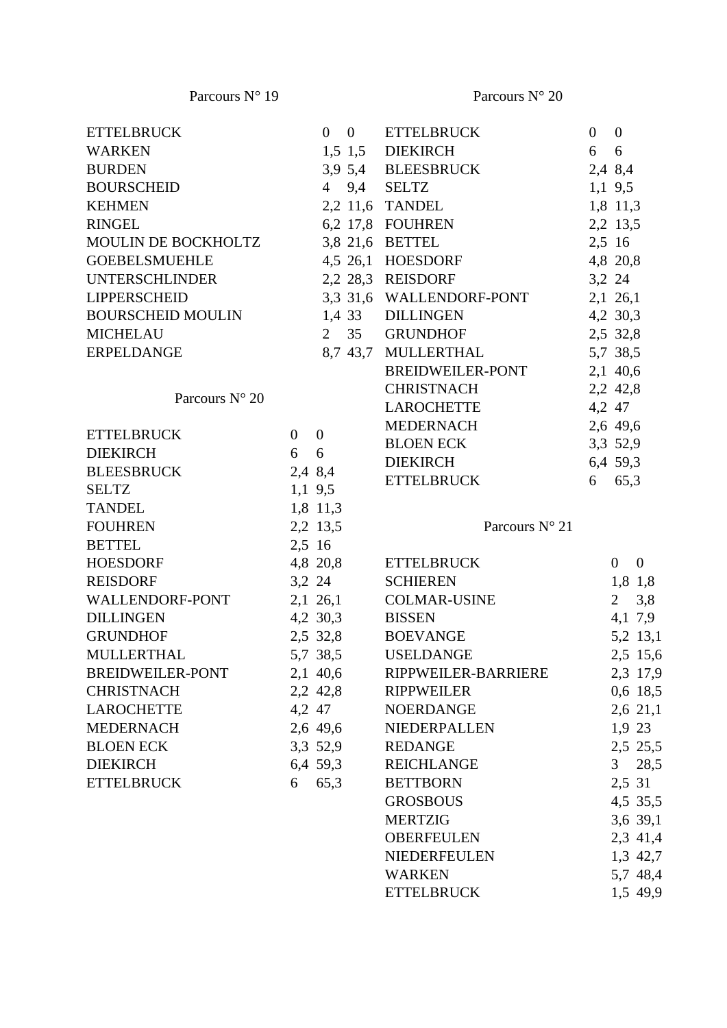| <b>ETTELBRUCK</b>                   |             | $0 \quad 0$     | <b>ETTELBRUCK</b>                 | $\overline{0}$ | $\overline{0}$             |
|-------------------------------------|-------------|-----------------|-----------------------------------|----------------|----------------------------|
| <b>WARKEN</b>                       |             |                 | 1,5 1,5 DIEKIRCH                  | 6              | 6                          |
| <b>BURDEN</b>                       |             |                 | 3,9 5,4 BLEESBRUCK                | 2,4 8,4        |                            |
| <b>BOURSCHEID</b>                   |             |                 | 4 9,4 SELTZ                       |                | $1,1$ 9,5                  |
| <b>KEHMEN</b>                       |             |                 | 2,2 11,6 TANDEL                   |                | 1,8 11,3                   |
| <b>RINGEL</b>                       |             |                 | 6,2 17,8 FOUHREN                  |                | 2,2 13,5                   |
| MOULIN DE BOCKHOLTZ 3,8 21,6 BETTEL |             |                 |                                   | 2,5 16         |                            |
| <b>GOEBELSMUEHLE</b>                |             |                 | 4,5 26,1 HOESDORF                 |                | 4,8 20,8                   |
| UNTERSCHLINDER 2,2 28,3 REISDORF    |             |                 |                                   | 3,2 24         |                            |
| <b>LIPPERSCHEID</b>                 |             |                 | 3,3 31,6 WALLENDORF-PONT 2,1 26,1 |                |                            |
| BOURSCHEID MOULIN 1,4 33 DILLINGEN  |             |                 |                                   |                | 4,2 30,3                   |
| <b>MICHELAU</b>                     |             |                 | 2 35 GRUNDHOF<br>2,5 32,8         |                |                            |
| ERPELDANGE                          |             |                 | 8,7 43,7 MULLERTHAL               |                | 5,7 38,5                   |
|                                     |             |                 | BREIDWEILER-PONT 2,1 40,6         |                |                            |
|                                     |             |                 | <b>CHRISTNACH</b>                 |                | 2,2 42,8                   |
| Parcours $N^{\circ}$ 20             |             |                 | LAROCHETTE                        |                | 4,2 47                     |
|                                     |             |                 | MEDERNACH 2,6 49,6                |                |                            |
| <b>ETTELBRUCK</b>                   | $0 \quad 0$ |                 | <b>BLOEN ECK</b>                  |                | 3,3 52,9                   |
| <b>DIEKIRCH</b>                     | 6           | 6               | <b>DIEKIRCH</b>                   |                | 6,4 59,3                   |
| <b>BLEESBRUCK</b>                   |             | 2,4 8,4         | <b>ETTELBRUCK</b>                 |                | 6 65,3                     |
| <b>SELTZ</b>                        |             | $1,1$ 9,5       |                                   |                |                            |
| <b>TANDEL</b>                       |             | 1,8 11,3        |                                   |                |                            |
| <b>FOUHREN</b>                      |             | 2,2 13,5        | Parcours N° 21                    |                |                            |
| <b>BETTEL</b>                       | 2,5 16      |                 |                                   |                |                            |
| HOESDORF                            |             | 4,8 20,8        | <b>ETTELBRUCK</b>                 |                | $\Omega$<br>$\overline{0}$ |
| <b>REISDORF</b>                     |             | 3,2 24          | <b>SCHIEREN</b>                   |                | 1,8 1,8                    |
| WALLENDORF-PONT                     |             |                 | 2,1 26,1 COLMAR-USINE             |                | 2, 3, 8                    |
| <b>DILLINGEN</b>                    |             | 4,2 30,3 BISSEN |                                   |                | 4,1 7,9                    |
| <b>GRUNDHOF</b>                     |             |                 | 2,5 32,8 BOEVANGE                 |                | 5,2 13,1                   |
|                                     |             |                 |                                   |                |                            |
| <b>MULLERTHAL</b>                   |             |                 | 5,7 38,5 USELDANGE                |                | 2,5 15,6                   |
| BREIDWEILER-PONT 2,1 40,6           |             |                 | RIPPWEILER-BARRIERE               |                | 2,3 17,9                   |
| <b>CHRISTNACH</b>                   |             | 2,2 42,8        | <b>RIPPWEILER</b>                 |                | 0,6 18,5                   |
| LAROCHETTE                          |             | 4,2 47          | <b>NOERDANGE</b>                  |                | 2,6 21,1                   |
| <b>MEDERNACH</b>                    |             | 2,6 49,6        | NIEDERPALLEN                      |                | 1,9,23                     |
| <b>BLOEN ECK</b>                    |             | 3,3 52,9        | <b>REDANGE</b>                    |                | 2,5 25,5                   |
| <b>DIEKIRCH</b>                     |             | 6,4 59,3        | <b>REICHLANGE</b>                 |                | 28,5<br>3 <sup>7</sup>     |
| <b>ETTELBRUCK</b>                   |             | 6 65,3          | <b>BETTBORN</b>                   |                | 2,5 31                     |
|                                     |             |                 | <b>GROSBOUS</b>                   |                | 4,5 35,5                   |
|                                     |             |                 | <b>MERTZIG</b>                    |                | 3,6 39,1                   |
|                                     |             |                 | <b>OBERFEULEN</b>                 |                | 2,3 41,4                   |
|                                     |             |                 | <b>NIEDERFEULEN</b>               |                | 1,3 42,7                   |
|                                     |             |                 | <b>WARKEN</b>                     |                | 5,7 48,4                   |